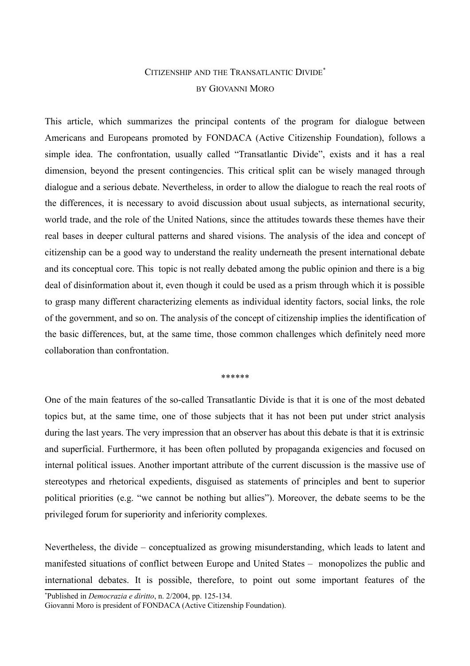## CITIZENSHIP AND THE TRANSATLANTIC DIVIDE[\\*](#page-0-0) BY GIOVANNI MORO

This article, which summarizes the principal contents of the program for dialogue between Americans and Europeans promoted by FONDACA (Active Citizenship Foundation), follows a simple idea. The confrontation, usually called "Transatlantic Divide", exists and it has a real dimension, beyond the present contingencies. This critical split can be wisely managed through dialogue and a serious debate. Nevertheless, in order to allow the dialogue to reach the real roots of the differences, it is necessary to avoid discussion about usual subjects, as international security, world trade, and the role of the United Nations, since the attitudes towards these themes have their real bases in deeper cultural patterns and shared visions. The analysis of the idea and concept of citizenship can be a good way to understand the reality underneath the present international debate and its conceptual core. This topic is not really debated among the public opinion and there is a big deal of disinformation about it, even though it could be used as a prism through which it is possible to grasp many different characterizing elements as individual identity factors, social links, the role of the government, and so on. The analysis of the concept of citizenship implies the identification of the basic differences, but, at the same time, those common challenges which definitely need more collaboration than confrontation.

\*\*\*\*\*\*

One of the main features of the so-called Transatlantic Divide is that it is one of the most debated topics but, at the same time, one of those subjects that it has not been put under strict analysis during the last years. The very impression that an observer has about this debate is that it is extrinsic and superficial. Furthermore, it has been often polluted by propaganda exigencies and focused on internal political issues. Another important attribute of the current discussion is the massive use of stereotypes and rhetorical expedients, disguised as statements of principles and bent to superior political priorities (e.g. "we cannot be nothing but allies"). Moreover, the debate seems to be the privileged forum for superiority and inferiority complexes.

Nevertheless, the divide – conceptualized as growing misunderstanding, which leads to latent and manifested situations of conflict between Europe and United States – monopolizes the public and international debates. It is possible, therefore, to point out some important features of the

<span id="page-0-0"></span>\*Published in *Democrazia e diritto*, n. 2/2004, pp. 125-134.

Giovanni Moro is president of FONDACA (Active Citizenship Foundation).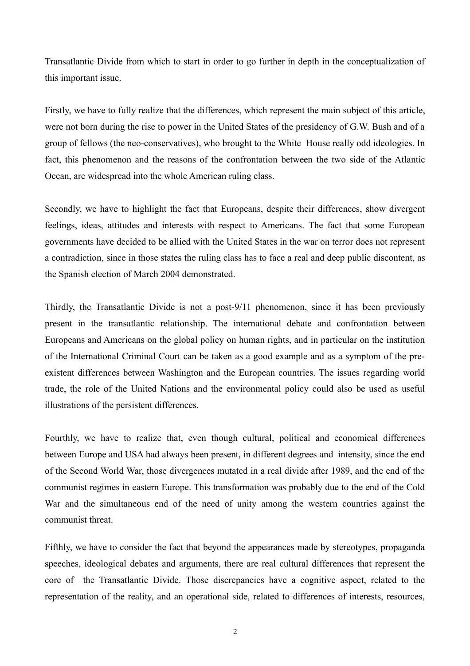Transatlantic Divide from which to start in order to go further in depth in the conceptualization of this important issue.

Firstly, we have to fully realize that the differences, which represent the main subject of this article, were not born during the rise to power in the United States of the presidency of G.W. Bush and of a group of fellows (the neo-conservatives), who brought to the White House really odd ideologies. In fact, this phenomenon and the reasons of the confrontation between the two side of the Atlantic Ocean, are widespread into the whole American ruling class.

Secondly, we have to highlight the fact that Europeans, despite their differences, show divergent feelings, ideas, attitudes and interests with respect to Americans. The fact that some European governments have decided to be allied with the United States in the war on terror does not represent a contradiction, since in those states the ruling class has to face a real and deep public discontent, as the Spanish election of March 2004 demonstrated.

Thirdly, the Transatlantic Divide is not a post-9/11 phenomenon, since it has been previously present in the transatlantic relationship. The international debate and confrontation between Europeans and Americans on the global policy on human rights, and in particular on the institution of the International Criminal Court can be taken as a good example and as a symptom of the preexistent differences between Washington and the European countries. The issues regarding world trade, the role of the United Nations and the environmental policy could also be used as useful illustrations of the persistent differences.

Fourthly, we have to realize that, even though cultural, political and economical differences between Europe and USA had always been present, in different degrees and intensity, since the end of the Second World War, those divergences mutated in a real divide after 1989, and the end of the communist regimes in eastern Europe. This transformation was probably due to the end of the Cold War and the simultaneous end of the need of unity among the western countries against the communist threat.

Fifthly, we have to consider the fact that beyond the appearances made by stereotypes, propaganda speeches, ideological debates and arguments, there are real cultural differences that represent the core of the Transatlantic Divide. Those discrepancies have a cognitive aspect, related to the representation of the reality, and an operational side, related to differences of interests, resources,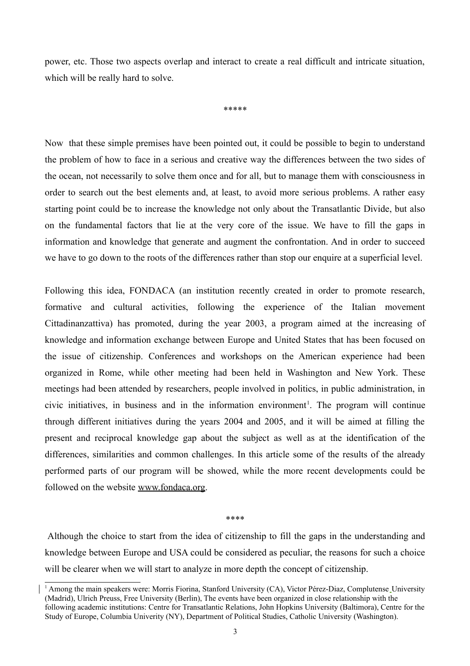power, etc. Those two aspects overlap and interact to create a real difficult and intricate situation, which will be really hard to solve.

\*\*\*\*\*

Now that these simple premises have been pointed out, it could be possible to begin to understand the problem of how to face in a serious and creative way the differences between the two sides of the ocean, not necessarily to solve them once and for all, but to manage them with consciousness in order to search out the best elements and, at least, to avoid more serious problems. A rather easy starting point could be to increase the knowledge not only about the Transatlantic Divide, but also on the fundamental factors that lie at the very core of the issue. We have to fill the gaps in information and knowledge that generate and augment the confrontation. And in order to succeed we have to go down to the roots of the differences rather than stop our enquire at a superficial level.

Following this idea, FONDACA (an institution recently created in order to promote research, formative and cultural activities, following the experience of the Italian movement Cittadinanzattiva) has promoted, during the year 2003, a program aimed at the increasing of knowledge and information exchange between Europe and United States that has been focused on the issue of citizenship. Conferences and workshops on the American experience had been organized in Rome, while other meeting had been held in Washington and New York. These meetings had been attended by researchers, people involved in politics, in public administration, in civic initiatives, in business and in the information environment<sup>[1](#page-2-0)</sup>. The program will continue through different initiatives during the years 2004 and 2005, and it will be aimed at filling the present and reciprocal knowledge gap about the subject as well as at the identification of the differences, similarities and common challenges. In this article some of the results of the already performed parts of our program will be showed, while the more recent developments could be followed on the website [www.fondaca.org.](http://www.fondaca.org/)

\*\*\*\*

 Although the choice to start from the idea of citizenship to fill the gaps in the understanding and knowledge between Europe and USA could be considered as peculiar, the reasons for such a choice will be clearer when we will start to analyze in more depth the concept of citizenship.

<span id="page-2-0"></span><sup>&</sup>lt;sup>1</sup> Among the main speakers were: Morris Fiorina, Stanford University (CA), Victor Pérez-Diaz, Complutense University (Madrid), Ulrich Preuss, Free University (Berlin), The events have been organized in close relationship with the following academic institutions: Centre for Transatlantic Relations, John Hopkins University (Baltimora), Centre for the Study of Europe, Columbia Univerity (NY), Department of Political Studies, Catholic University (Washington).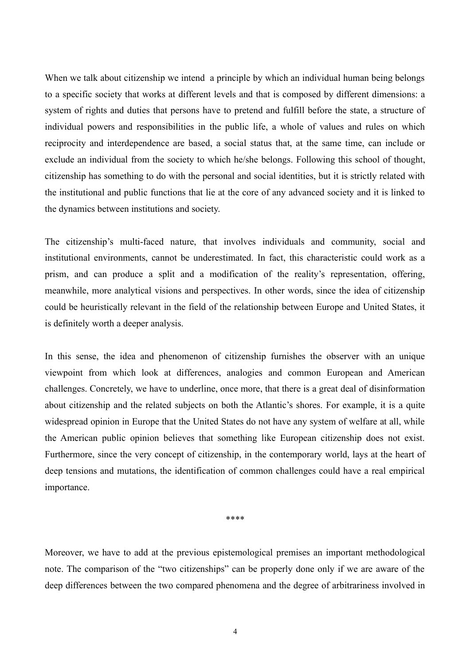When we talk about citizenship we intend a principle by which an individual human being belongs to a specific society that works at different levels and that is composed by different dimensions: a system of rights and duties that persons have to pretend and fulfill before the state, a structure of individual powers and responsibilities in the public life, a whole of values and rules on which reciprocity and interdependence are based, a social status that, at the same time, can include or exclude an individual from the society to which he/she belongs. Following this school of thought, citizenship has something to do with the personal and social identities, but it is strictly related with the institutional and public functions that lie at the core of any advanced society and it is linked to the dynamics between institutions and society.

The citizenship's multi-faced nature, that involves individuals and community, social and institutional environments, cannot be underestimated. In fact, this characteristic could work as a prism, and can produce a split and a modification of the reality's representation, offering, meanwhile, more analytical visions and perspectives. In other words, since the idea of citizenship could be heuristically relevant in the field of the relationship between Europe and United States, it is definitely worth a deeper analysis.

In this sense, the idea and phenomenon of citizenship furnishes the observer with an unique viewpoint from which look at differences, analogies and common European and American challenges. Concretely, we have to underline, once more, that there is a great deal of disinformation about citizenship and the related subjects on both the Atlantic's shores. For example, it is a quite widespread opinion in Europe that the United States do not have any system of welfare at all, while the American public opinion believes that something like European citizenship does not exist. Furthermore, since the very concept of citizenship, in the contemporary world, lays at the heart of deep tensions and mutations, the identification of common challenges could have a real empirical importance.

\*\*\*\*

Moreover, we have to add at the previous epistemological premises an important methodological note. The comparison of the "two citizenships" can be properly done only if we are aware of the deep differences between the two compared phenomena and the degree of arbitrariness involved in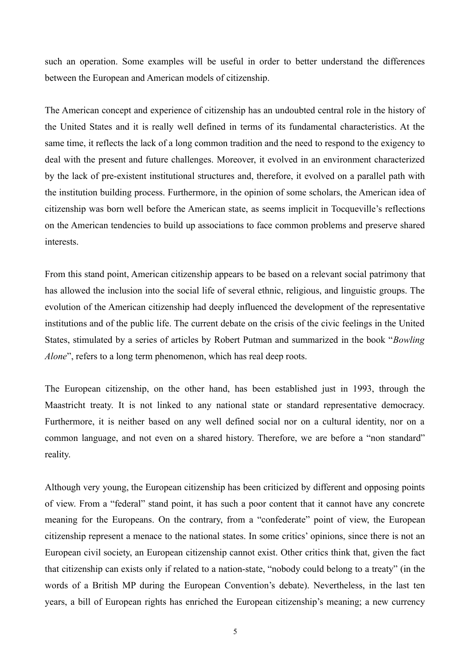such an operation. Some examples will be useful in order to better understand the differences between the European and American models of citizenship.

The American concept and experience of citizenship has an undoubted central role in the history of the United States and it is really well defined in terms of its fundamental characteristics. At the same time, it reflects the lack of a long common tradition and the need to respond to the exigency to deal with the present and future challenges. Moreover, it evolved in an environment characterized by the lack of pre-existent institutional structures and, therefore, it evolved on a parallel path with the institution building process. Furthermore, in the opinion of some scholars, the American idea of citizenship was born well before the American state, as seems implicit in Tocqueville's reflections on the American tendencies to build up associations to face common problems and preserve shared interests.

From this stand point, American citizenship appears to be based on a relevant social patrimony that has allowed the inclusion into the social life of several ethnic, religious, and linguistic groups. The evolution of the American citizenship had deeply influenced the development of the representative institutions and of the public life. The current debate on the crisis of the civic feelings in the United States, stimulated by a series of articles by Robert Putman and summarized in the book "*Bowling Alone*", refers to a long term phenomenon, which has real deep roots.

The European citizenship, on the other hand, has been established just in 1993, through the Maastricht treaty. It is not linked to any national state or standard representative democracy. Furthermore, it is neither based on any well defined social nor on a cultural identity, nor on a common language, and not even on a shared history. Therefore, we are before a "non standard" reality.

Although very young, the European citizenship has been criticized by different and opposing points of view. From a "federal" stand point, it has such a poor content that it cannot have any concrete meaning for the Europeans. On the contrary, from a "confederate" point of view, the European citizenship represent a menace to the national states. In some critics' opinions, since there is not an European civil society, an European citizenship cannot exist. Other critics think that, given the fact that citizenship can exists only if related to a nation-state, "nobody could belong to a treaty" (in the words of a British MP during the European Convention's debate). Nevertheless, in the last ten years, a bill of European rights has enriched the European citizenship's meaning; a new currency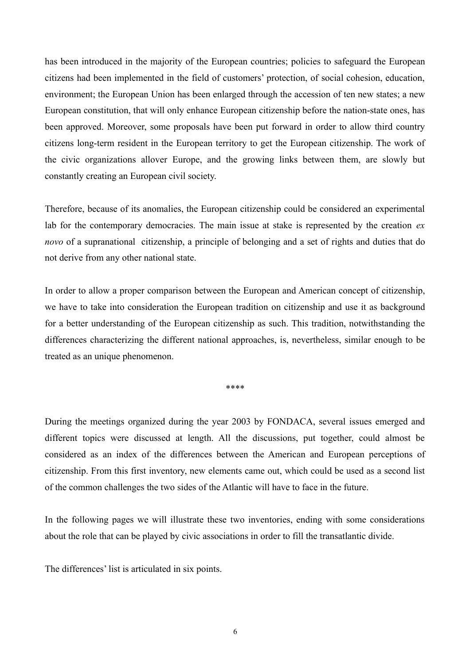has been introduced in the majority of the European countries; policies to safeguard the European citizens had been implemented in the field of customers' protection, of social cohesion, education, environment; the European Union has been enlarged through the accession of ten new states; a new European constitution, that will only enhance European citizenship before the nation-state ones, has been approved. Moreover, some proposals have been put forward in order to allow third country citizens long-term resident in the European territory to get the European citizenship. The work of the civic organizations allover Europe, and the growing links between them, are slowly but constantly creating an European civil society.

Therefore, because of its anomalies, the European citizenship could be considered an experimental lab for the contemporary democracies. The main issue at stake is represented by the creation *ex novo* of a supranational citizenship, a principle of belonging and a set of rights and duties that do not derive from any other national state.

In order to allow a proper comparison between the European and American concept of citizenship, we have to take into consideration the European tradition on citizenship and use it as background for a better understanding of the European citizenship as such. This tradition, notwithstanding the differences characterizing the different national approaches, is, nevertheless, similar enough to be treated as an unique phenomenon.

\*\*\*\*

During the meetings organized during the year 2003 by FONDACA, several issues emerged and different topics were discussed at length. All the discussions, put together, could almost be considered as an index of the differences between the American and European perceptions of citizenship. From this first inventory, new elements came out, which could be used as a second list of the common challenges the two sides of the Atlantic will have to face in the future.

In the following pages we will illustrate these two inventories, ending with some considerations about the role that can be played by civic associations in order to fill the transatlantic divide.

The differences' list is articulated in six points.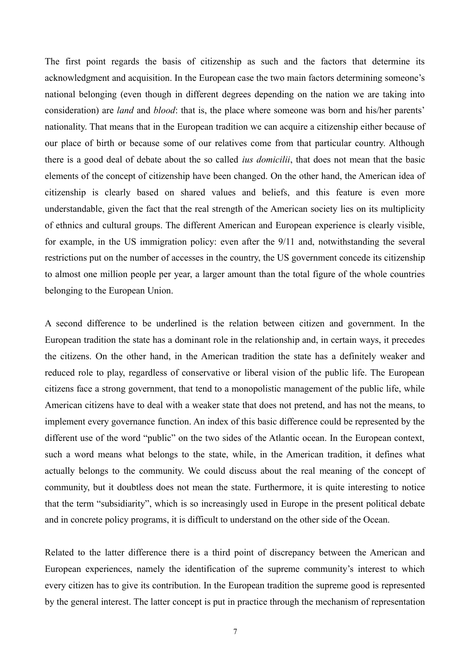The first point regards the basis of citizenship as such and the factors that determine its acknowledgment and acquisition. In the European case the two main factors determining someone's national belonging (even though in different degrees depending on the nation we are taking into consideration) are *land* and *blood*: that is, the place where someone was born and his/her parents' nationality. That means that in the European tradition we can acquire a citizenship either because of our place of birth or because some of our relatives come from that particular country. Although there is a good deal of debate about the so called *ius domicilii*, that does not mean that the basic elements of the concept of citizenship have been changed. On the other hand, the American idea of citizenship is clearly based on shared values and beliefs, and this feature is even more understandable, given the fact that the real strength of the American society lies on its multiplicity of ethnics and cultural groups. The different American and European experience is clearly visible, for example, in the US immigration policy: even after the 9/11 and, notwithstanding the several restrictions put on the number of accesses in the country, the US government concede its citizenship to almost one million people per year, a larger amount than the total figure of the whole countries belonging to the European Union.

A second difference to be underlined is the relation between citizen and government. In the European tradition the state has a dominant role in the relationship and, in certain ways, it precedes the citizens. On the other hand, in the American tradition the state has a definitely weaker and reduced role to play, regardless of conservative or liberal vision of the public life. The European citizens face a strong government, that tend to a monopolistic management of the public life, while American citizens have to deal with a weaker state that does not pretend, and has not the means, to implement every governance function. An index of this basic difference could be represented by the different use of the word "public" on the two sides of the Atlantic ocean. In the European context, such a word means what belongs to the state, while, in the American tradition, it defines what actually belongs to the community. We could discuss about the real meaning of the concept of community, but it doubtless does not mean the state. Furthermore, it is quite interesting to notice that the term "subsidiarity", which is so increasingly used in Europe in the present political debate and in concrete policy programs, it is difficult to understand on the other side of the Ocean.

Related to the latter difference there is a third point of discrepancy between the American and European experiences, namely the identification of the supreme community's interest to which every citizen has to give its contribution. In the European tradition the supreme good is represented by the general interest. The latter concept is put in practice through the mechanism of representation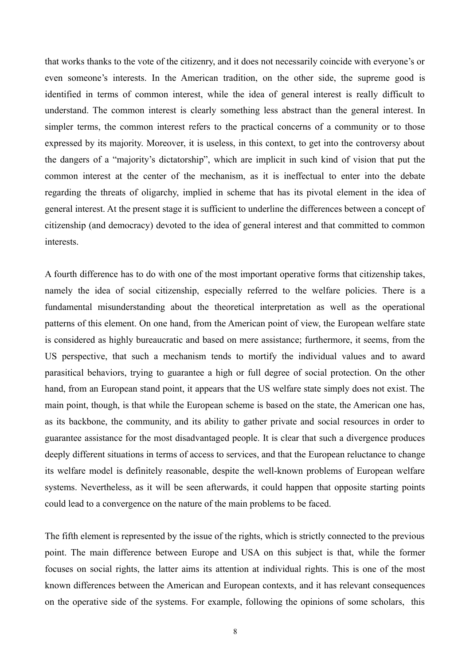that works thanks to the vote of the citizenry, and it does not necessarily coincide with everyone's or even someone's interests. In the American tradition, on the other side, the supreme good is identified in terms of common interest, while the idea of general interest is really difficult to understand. The common interest is clearly something less abstract than the general interest. In simpler terms, the common interest refers to the practical concerns of a community or to those expressed by its majority. Moreover, it is useless, in this context, to get into the controversy about the dangers of a "majority's dictatorship", which are implicit in such kind of vision that put the common interest at the center of the mechanism, as it is ineffectual to enter into the debate regarding the threats of oligarchy, implied in scheme that has its pivotal element in the idea of general interest. At the present stage it is sufficient to underline the differences between a concept of citizenship (and democracy) devoted to the idea of general interest and that committed to common interests.

A fourth difference has to do with one of the most important operative forms that citizenship takes, namely the idea of social citizenship, especially referred to the welfare policies. There is a fundamental misunderstanding about the theoretical interpretation as well as the operational patterns of this element. On one hand, from the American point of view, the European welfare state is considered as highly bureaucratic and based on mere assistance; furthermore, it seems, from the US perspective, that such a mechanism tends to mortify the individual values and to award parasitical behaviors, trying to guarantee a high or full degree of social protection. On the other hand, from an European stand point, it appears that the US welfare state simply does not exist. The main point, though, is that while the European scheme is based on the state, the American one has, as its backbone, the community, and its ability to gather private and social resources in order to guarantee assistance for the most disadvantaged people. It is clear that such a divergence produces deeply different situations in terms of access to services, and that the European reluctance to change its welfare model is definitely reasonable, despite the well-known problems of European welfare systems. Nevertheless, as it will be seen afterwards, it could happen that opposite starting points could lead to a convergence on the nature of the main problems to be faced.

The fifth element is represented by the issue of the rights, which is strictly connected to the previous point. The main difference between Europe and USA on this subject is that, while the former focuses on social rights, the latter aims its attention at individual rights. This is one of the most known differences between the American and European contexts, and it has relevant consequences on the operative side of the systems. For example, following the opinions of some scholars, this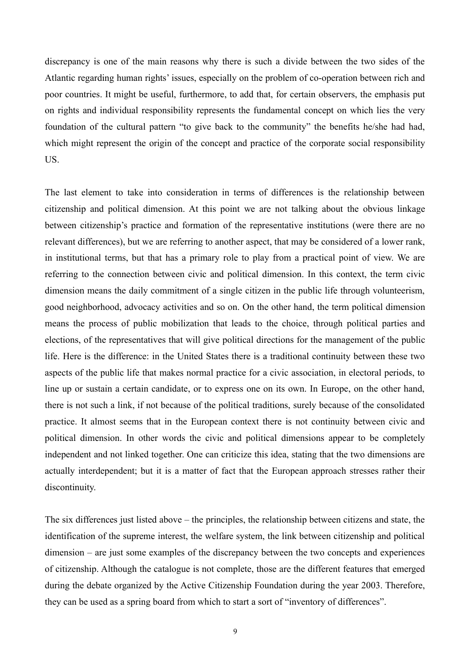discrepancy is one of the main reasons why there is such a divide between the two sides of the Atlantic regarding human rights' issues, especially on the problem of co-operation between rich and poor countries. It might be useful, furthermore, to add that, for certain observers, the emphasis put on rights and individual responsibility represents the fundamental concept on which lies the very foundation of the cultural pattern "to give back to the community" the benefits he/she had had, which might represent the origin of the concept and practice of the corporate social responsibility US.

The last element to take into consideration in terms of differences is the relationship between citizenship and political dimension. At this point we are not talking about the obvious linkage between citizenship's practice and formation of the representative institutions (were there are no relevant differences), but we are referring to another aspect, that may be considered of a lower rank, in institutional terms, but that has a primary role to play from a practical point of view. We are referring to the connection between civic and political dimension. In this context, the term civic dimension means the daily commitment of a single citizen in the public life through volunteerism, good neighborhood, advocacy activities and so on. On the other hand, the term political dimension means the process of public mobilization that leads to the choice, through political parties and elections, of the representatives that will give political directions for the management of the public life. Here is the difference: in the United States there is a traditional continuity between these two aspects of the public life that makes normal practice for a civic association, in electoral periods, to line up or sustain a certain candidate, or to express one on its own. In Europe, on the other hand, there is not such a link, if not because of the political traditions, surely because of the consolidated practice. It almost seems that in the European context there is not continuity between civic and political dimension. In other words the civic and political dimensions appear to be completely independent and not linked together. One can criticize this idea, stating that the two dimensions are actually interdependent; but it is a matter of fact that the European approach stresses rather their discontinuity.

The six differences just listed above – the principles, the relationship between citizens and state, the identification of the supreme interest, the welfare system, the link between citizenship and political dimension – are just some examples of the discrepancy between the two concepts and experiences of citizenship. Although the catalogue is not complete, those are the different features that emerged during the debate organized by the Active Citizenship Foundation during the year 2003. Therefore, they can be used as a spring board from which to start a sort of "inventory of differences".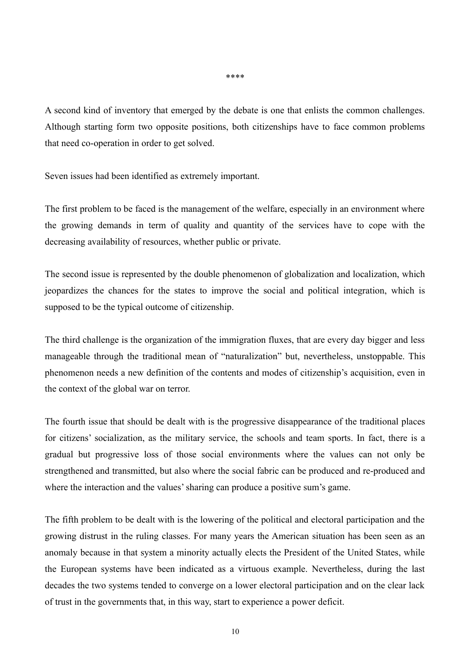A second kind of inventory that emerged by the debate is one that enlists the common challenges. Although starting form two opposite positions, both citizenships have to face common problems that need co-operation in order to get solved.

Seven issues had been identified as extremely important.

The first problem to be faced is the management of the welfare, especially in an environment where the growing demands in term of quality and quantity of the services have to cope with the decreasing availability of resources, whether public or private.

The second issue is represented by the double phenomenon of globalization and localization, which jeopardizes the chances for the states to improve the social and political integration, which is supposed to be the typical outcome of citizenship.

The third challenge is the organization of the immigration fluxes, that are every day bigger and less manageable through the traditional mean of "naturalization" but, nevertheless, unstoppable. This phenomenon needs a new definition of the contents and modes of citizenship's acquisition, even in the context of the global war on terror.

The fourth issue that should be dealt with is the progressive disappearance of the traditional places for citizens' socialization, as the military service, the schools and team sports. In fact, there is a gradual but progressive loss of those social environments where the values can not only be strengthened and transmitted, but also where the social fabric can be produced and re-produced and where the interaction and the values' sharing can produce a positive sum's game.

The fifth problem to be dealt with is the lowering of the political and electoral participation and the growing distrust in the ruling classes. For many years the American situation has been seen as an anomaly because in that system a minority actually elects the President of the United States, while the European systems have been indicated as a virtuous example. Nevertheless, during the last decades the two systems tended to converge on a lower electoral participation and on the clear lack of trust in the governments that, in this way, start to experience a power deficit.

\*\*\*\*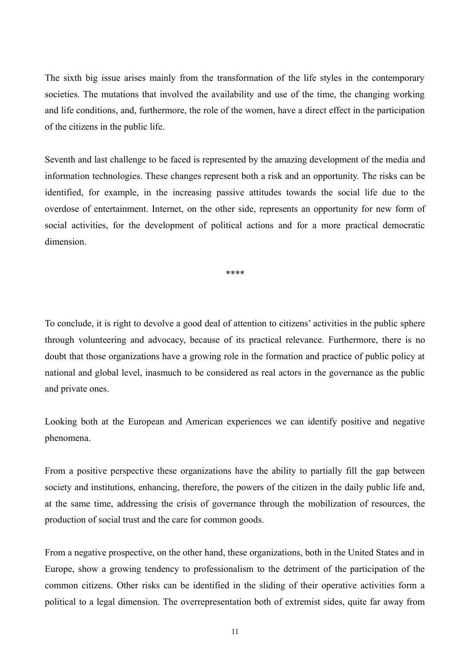The sixth big issue arises mainly from the transformation of the life styles in the contemporary societies. The mutations that involved the availability and use of the time, the changing working and life conditions, and, furthermore, the role of the women, have a direct effect in the participation of the citizens in the public life.

Seventh and last challenge to be faced is represented by the amazing development of the media and information technologies. These changes represent both a risk and an opportunity. The risks can be identified, for example, in the increasing passive attitudes towards the social life due to the overdose of entertainment. Internet, on the other side, represents an opportunity for new form of social activities, for the development of political actions and for a more practical democratic dimension.

\*\*\*\*

To conclude, it is right to devolve a good deal of attention to citizens' activities in the public sphere through volunteering and advocacy, because of its practical relevance. Furthermore, there is no doubt that those organizations have a growing role in the formation and practice of public policy at national and global level, inasmuch to be considered as real actors in the governance as the public and private ones.

Looking both at the European and American experiences we can identify positive and negative phenomena.

From a positive perspective these organizations have the ability to partially fill the gap between society and institutions, enhancing, therefore, the powers of the citizen in the daily public life and, at the same time, addressing the crisis of governance through the mobilization of resources, the production of social trust and the care for common goods.

From a negative prospective, on the other hand, these organizations, both in the United States and in Europe, show a growing tendency to professionalism to the detriment of the participation of the common citizens. Other risks can be identified in the sliding of their operative activities form a political to a legal dimension. The overrepresentation both of extremist sides, quite far away from